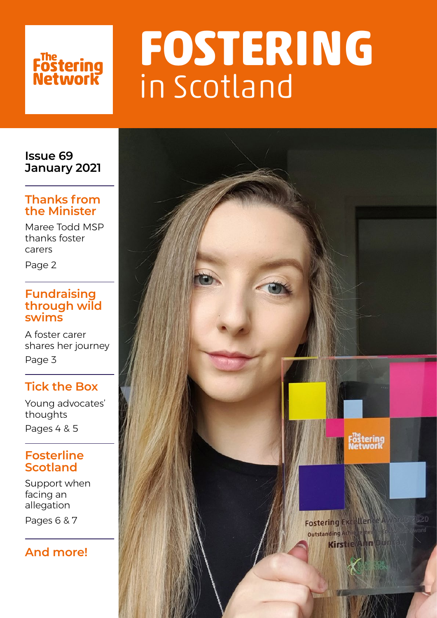# Fostering<br>Network

# **FOSTERING**  in Scotland

**Issue 69 January 2021**

### **Thanks from the Minister**

Maree Todd MSP thanks foster carers

Page 2

### **Fundraising through wild swims**

A foster carer shares her journey Page 3

## **Tick the Box**

Young advocates' thoughts Pages 4 & 5

## **Fosterline Scotland**

Support when facing an allegation

Pages 6 & 7

## **And more!**

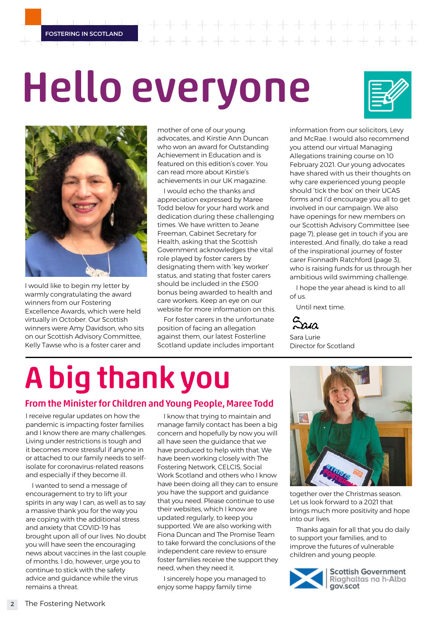**FOSTERING IN SCOTLAND**

 $\begin{array}{cccccccccccccc} + & + & + & + & + & + \end{array}$ 

# Hello everyone





I would like to begin my letter by warmly congratulating the award winners from our Fostering Excellence Awards, which were held virtually in October. Our Scottish winners were Amy Davidson, who sits on our Scottish Advisory Committee, Kelly Tawse who is a foster carer and

mother of one of our young advocates, and Kirstie Ann Duncan who won an award for Outstanding Achievement in Education and is featured on this edition's cover. You can read more about Kirstie's achievements in our UK magazine.

I would echo the thanks and appreciation expressed by Maree Todd below for your hard work and dedication during these challenging times. We have written to Jeane Freeman, Cabinet Secretary for Health, asking that the Scottish Government acknowledges the vital role played by foster carers by designating them with 'key worker' status, and stating that foster carers should be included in the £500 bonus being awarded to health and care workers. Keep an eye on our website for more information on this.

For foster carers in the unfortunate position of facing an allegation against them, our latest Fosterline Scotland update includes important information from our solicitors, Levy and McRae. I would also recommend you attend our virtual Managing Allegations training course on 10 February 2021. Our young advocates have shared with us their thoughts on why care experienced young people should 'tick the box' on their UCAS forms and I'd encourage you all to get involved in our campaign. We also have openings for new members on our Scottish Advisory Committee (see page 7), please get in touch if you are interested. And finally, do take a read of the inspirational journey of foster carer Fionnadh Ratchford (page 3), who is raising funds for us through her ambitious wild swimming challenge.

I hope the year ahead is kind to all of us.

Until next time.

 $\alpha$ a

Sara Lurie Director for Scotland

# A big thank you

### From the Minister for Children and Young People, Maree Todd

I receive regular updates on how the pandemic is impacting foster families and I know there are many challenges. Living under restrictions is tough and it becomes more stressful if anyone in or attached to our family needs to selfisolate for coronavirus-related reasons and especially if they become ill.

I wanted to send a message of encouragement to try to lift your spirits in any way I can, as well as to say a massive thank you for the way you are coping with the additional stress and anxiety that COVID-19 has brought upon all of our lives. No doubt you will have seen the encouraging news about vaccines in the last couple of months. I do, however, urge you to continue to stick with the safety advice and guidance while the virus remains a threat.

I know that trying to maintain and manage family contact has been a big concern and hopefully by now you will all have seen the guidance that we have produced to help with that. We have been working closely with The Fostering Network, CELCIS, Social Work Scotland and others who I know have been doing all they can to ensure you have the support and guidance that you need. Please continue to use their websites, which I know are updated regularly, to keep you supported. We are also working with Fiona Duncan and The Promise Team to take forward the conclusions of the independent care review to ensure foster families receive the support they need, when they need it.

I sincerely hope you managed to enjoy some happy family time



together over the Christmas season. Let us look forward to a 2021 that brings much more positivity and hope into our lives.

Thanks again for all that you do daily to support your families, and to improve the futures of vulnerable children and young people.



**Scottish Government** Riaghaltas na h-Alba gov.scot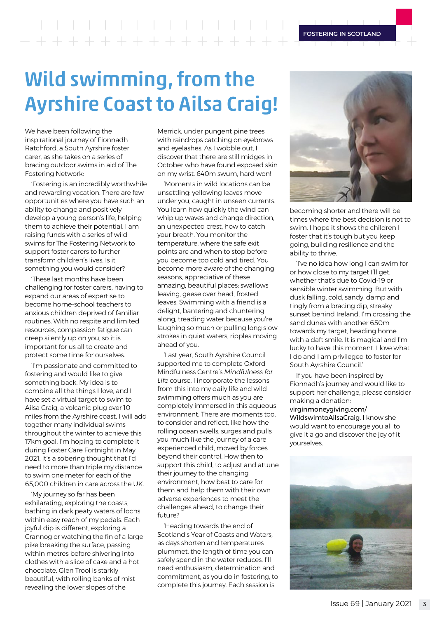**FOSTERING IN SCOTLAND**

## $+ + + + +$ - + + + + + + + + + + +

# Wild swimming, from the Ayrshire Coast to Ailsa Craig!

We have been following the inspirational journey of Fionnadh Ratchford, a South Ayrshire foster carer, as she takes on a series of bracing outdoor swims in aid of The Fostering Network:

'Fostering is an incredibly worthwhile and rewarding vocation. There are few opportunities where you have such an ability to change and positively develop a young person's life, helping them to achieve their potential. I am raising funds with a series of wild swims for The Fostering Network to support foster carers to further transform children's lives. Is it something you would consider?

'These last months have been challenging for foster carers, having to expand our areas of expertise to become home-school teachers to anxious children deprived of familiar routines. With no respite and limited resources, compassion fatigue can creep silently up on you, so it is important for us all to create and protect some time for ourselves.

'I'm passionate and committed to fostering and would like to give something back. My idea is to combine all the things I love, and I have set a virtual target to swim to Ailsa Craig, a volcanic plug over 10 miles from the Ayrshire coast. I will add together many individual swims throughout the winter to achieve this 17km goal. I'm hoping to complete it during Foster Care Fortnight in May 2021. It's a sobering thought that I'd need to more than triple my distance to swim one meter for each of the 65,000 children in care across the UK.

'My journey so far has been exhilarating, exploring the coasts, bathing in dark peaty waters of lochs within easy reach of my pedals. Each joyful dip is different, exploring a Crannog or watching the fin of a large pike breaking the surface, passing within metres before shivering into clothes with a slice of cake and a hot chocolate. Glen Trool is starkly beautiful, with rolling banks of mist revealing the lower slopes of the

Merrick, under pungent pine trees with raindrops catching on eyebrows and eyelashes. As I wobble out, I discover that there are still midges in October who have found exposed skin on my wrist. 640m swum, hard won!

'Moments in wild locations can be unsettling: yellowing leaves move under you, caught in unseen currents. You learn how quickly the wind can whip up waves and change direction. an unexpected crest, how to catch your breath. You monitor the temperature, where the safe exit points are and when to stop before you become too cold and tired. You become more aware of the changing seasons, appreciative of these amazing, beautiful places: swallows leaving, geese over head, frosted leaves. Swimming with a friend is a delight, bantering and chuntering along, treading water because you're laughing so much or pulling long slow strokes in quiet waters, ripples moving ahead of you.

'Last year, South Ayrshire Council supported me to complete Oxford Mindfulness Centre's *Mindfulness for Life* course. I incorporate the lessons from this into my daily life and wild swimming offers much as you are completely immersed in this aqueous environment. There are moments too, to consider and reflect, like how the rolling ocean swells, surges and pulls you much like the journey of a care experienced child, moved by forces beyond their control. How then to support this child, to adjust and attune their journey to the changing environment, how best to care for them and help them with their own adverse experiences to meet the challenges ahead, to change their future?

'Heading towards the end of Scotland's Year of Coasts and Waters, as days shorten and temperatures plummet, the length of time you can safely spend in the water reduces. I'll need enthusiasm, determination and commitment, as you do in fostering, to complete this journey. Each session is



becoming shorter and there will be times where the best decision is not to swim. I hope it shows the children I foster that it's tough but you keep going, building resilience and the ability to thrive.

'I've no idea how long I can swim for or how close to my target I'll get, whether that's due to Covid-19 or sensible winter swimming. But with dusk falling, cold, sandy, damp and tingly from a bracing dip, streaky sunset behind Ireland, I'm crossing the sand dunes with another 650m towards my target, heading home with a daft smile. It is magical and I'm lucky to have this moment. I love what I do and I am privileged to foster for South Ayrshire Council.'

If you have been inspired by Fionnadh's journey and would like to support her challenge, please consider making a donation: [virginmoneygiving.com/](http://virginmoneygiving.com/WildswimtoAilsaCraig) [WildswimtoAilsaCraig](http://virginmoneygiving.com/WildswimtoAilsaCraig). I know she would want to encourage you all to give it a go and discover the joy of it yourselves.

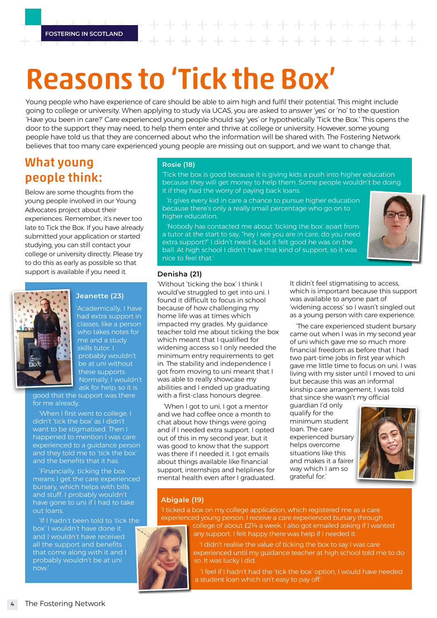# Reasons to 'Tick the Box'

Young people who have experience of care should be able to aim high and fulfil their potential. This might include going to college or university. When applying to study via UCAS, you are asked to answer 'yes' or 'no' to the question 'Have you been in care?' Care experienced young people should say 'yes' or hypothetically 'Tick the Box.' This opens the door to the support they may need, to help them enter and thrive at college or university. However, some young people have told us that they are concerned about who the information will be shared with. The Fostering Network believes that too many care experienced young people are missing out on support, and we want to change that.

## What young people think:

Below are some thoughts from the young people involved in our Young Advocates project about their experiences. Remember, it's never too late to Tick the Box. If you have already submitted your application or started studying, you can still contact your college or university directly. Please try to do this as early as possible so that support is available if you need it.



### **Jeanette (23)**

'Academically, I have had extra support in classes, like a person who takes notes for me and a study skills tutor. I probably wouldn't be at uni without these supports. Normally, I wouldn't ask for help, so it is

good that the support was there for me already

'When I first went to college, I didn't 'tick the box' as I didn't want to be stigmatised. Then I happened to mention I was care experienced to a guidance person and they told me to 'tick the box' and the benefits that it has.

'Financially, ticking the box means I get the care experienced bursary, which helps with bills and stuff. I probably wouldn't have gone to uni if I had to take out loans.

'If I hadn't been told to 'tick the box' I wouldn't have done it and I wouldn't have received all the support and benefits that come along with it and I probably wouldn't be at uni now.'

### **Rosie (18)**

'Tick the box is good because it is giving kids a push into higher education because they will get money to help them. Some people wouldn't be doing it if they had the worry of paying back loans.

'It gives every kid in care a chance to pursue higher education because there's only a really small percentage who go on to higher education.

'Nobody has contacted me about 'ticking the box' apart from a tutor at the start to say, "hey I see you are in care, do you need extra support?" I didn't need it, but it felt good he was on the ball. At high school I didn't have that kind of support, so it was nice to feel that.'



### **Denisha (21)**

'Without 'ticking the box' I think I would've struggled to get into uni. I found it difficult to focus in school because of how challenging my home life was at times which impacted my grades. My guidance teacher told me about ticking the box which meant that I qualified for widening access so I only needed the minimum entry requirements to get in. The stability and independence I got from moving to uni meant that I was able to really showcase my abilities and I ended up graduating with a first-class honours degree.

'When I got to uni, I got a mentor and we had coffee once a month to chat about how things were going and if I needed extra support. I opted out of this in my second year, but it was good to know that the support was there if I needed it. I got emails about things available like financial support, internships and helplines for mental health even after I graduated. It didn't feel stigmatising to access, which is important because this support was available to anyone part of 'widening access' so I wasn't singled out as a young person with care experience.

'The care experienced student bursary came out when I was in my second year of uni which gave me so much more financial freedom as before that I had two part-time jobs in first year which gave me little time to focus on uni. I was living with my sister until I moved to uni but because this was an informal kinship care arrangement, I was told that since she wasn't my official

guardian I'd only qualify for the minimum student loan. The care experienced bursary helps overcome situations like this and makes it a fairer way which I am so grateful for.'



### **Abigale (19)**

'I ticked a box on my college application, which registered me as a care experienced young person. I receive a care experienced bursary through



college of about £214 a week. I also got emailed asking if I wanted any support. I felt happy there was help if I needed it.

'I didn't realise the value of ticking the box to say I was care experienced until my guidance teacher at high school told me to do so. It was lucky I did.

'I feel if I hadn't had the 'tick the box' option, I would have needed a student loan which isn't easy to pay off.'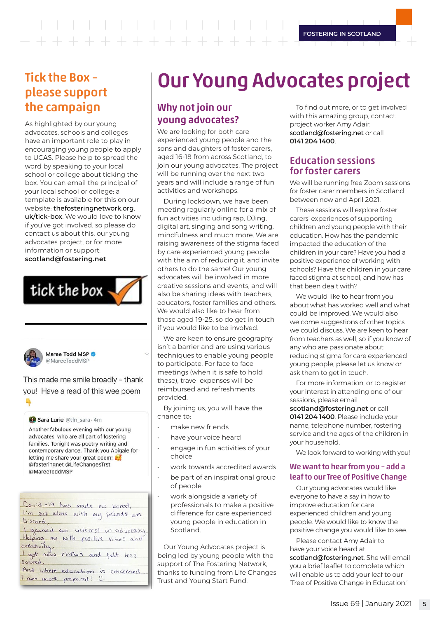$\begin{array}{ccccccccccccccccc} + & + & + & + & + & + & + & \end{array}$ 

**FOSTERING IN SCOTLAND**

## Tick the Box – please support the campaign

As highlighted by our young advocates, schools and colleges have an important role to play in encouraging young people to apply to UCAS. Please help to spread the word by speaking to your local school or college about ticking the box. You can email the principal of your local school or college: a template is available for this on our website: [thefosteringnetwork.org.](http://thefosteringnetwork.org.uk/tick-box) [uk/tick-box](http://thefosteringnetwork.org.uk/tick-box). We would love to know if you've got involved, so please do contact us about this, our young advocates project, or for more information or support: **scotland@fostering.net**.





Maree Todd MSP @MareeToddMSP

This made me smile broadly - thank you! Have a read of this wee poem

#### C Sara Lurie @tfn\_sara · 4m

Another fabulous evening with our young advocates who are all part of fostering families. Tonight was poetry writing and contemporary dance. Thank you Abigale for letting me share your great poem! @fosteringnet @LifeChangesTrst @MareeToddMSP

| Covid-19 has made me bored,                   |
|-----------------------------------------------|
| I'm sat alone with my friends on              |
| Discord,                                      |
| I gained an interest in advocasy.             |
| Helping me with positive vibes and            |
|                                               |
| creativity,<br>Lgot new clothes and felt less |
| Scared.                                       |

And where education is concerned. Lam more prepared! "

# Our Young Advocates project

### Why not join our young advocates?

We are looking for both care experienced young people and the sons and daughters of foster carers, aged 16-18 from across Scotland, to join our young advocates. The project will be running over the next two years and will include a range of fun activities and workshops.

During lockdown, we have been meeting regularly online for a mix of fun activities including rap, DJing, digital art, singing and song writing, mindfulness and much more. We are raising awareness of the stigma faced by care experienced young people with the aim of reducing it, and invite others to do the same! Our young advocates will be involved in more creative sessions and events, and will also be sharing ideas with teachers, educators, foster families and others. We would also like to hear from those aged 19-25, so do get in touch if you would like to be involved.

We are keen to ensure geography isn't a barrier and are using various techniques to enable young people to participate. For face to face meetings (when it is safe to hold these), travel expenses will be reimbursed and refreshments provided.

By joining us, you will have the chance to:

- make new friends
- have your voice heard
- engage in fun activities of your choice
- work towards accredited awards
- be part of an inspirational group of people
- work alongside a variety of professionals to make a positive difference for care experienced young people in education in Scotland.

Our Young Advocates project is being led by young people with the support of The Fostering Network, thanks to funding from Life Changes Trust and Young Start Fund.

To find out more, or to get involved with this amazing group, contact project worker Amy Adair, scotland@fostering.net or call **0141 204 1400**.

### Education sessions for foster carers

We will be running free Zoom sessions for foster carer members in Scotland between now and April 2021.

These sessions will explore foster carers' experiences of supporting children and young people with their education. How has the pandemic impacted the education of the children in your care? Have you had a positive experience of working with schools? Have the children in your care faced stigma at school, and how has that been dealt with?

We would like to hear from you about what has worked well and what could be improved. We would also welcome suggestions of other topics we could discuss. We are keen to hear from teachers as well, so if you know of any who are passionate about reducing stigma for care experienced young people, please let us know or ask them to get in touch.

For more information, or to register your interest in attending one of our sessions, please email

**scotland@fostering.net** or call **0141 204 1400**. Please include your name, telephone number, fostering service and the ages of the children in your household.

We look forward to working with you!

### We want to hear from you – add a leaf to our Tree of Positive Change

Our young advocates would like everyone to have a say in how to improve education for care experienced children and young people. We would like to know the positive change you would like to see.

Please contact Amy Adair to have your voice heard at scotland@fostering.net. She will email you a brief leaflet to complete which will enable us to add your leaf to our 'Tree of Positive Change in Education.'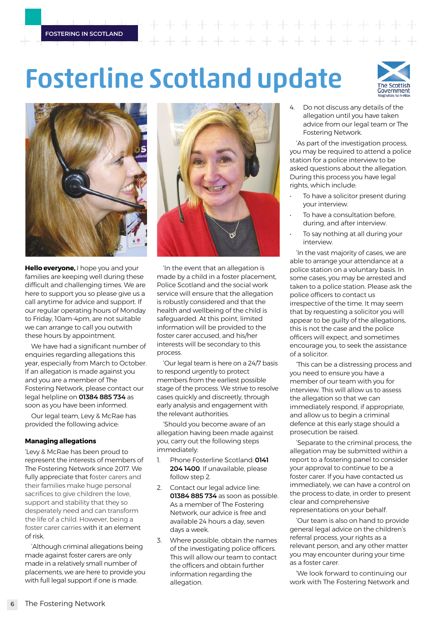# Fosterline Scotland update





**Hello everyone,** I hope you and your families are keeping well during these difficult and challenging times. We are here to support you so please give us a call anytime for advice and support. If our regular operating hours of Monday to Friday, 10am-4pm, are not suitable we can arrange to call you outwith these hours by appointment.

We have had a significant number of enquiries regarding allegations this year, especially from March to October. If an allegation is made against you and you are a member of The Fostering Network, please contact our legal helpline on **01384 885 734** as soon as you have been informed.

Our legal team, Levy & McRae has provided the following advice:

### **Managing allegations**

'Levy & McRae has been proud to represent the interests of members of The Fostering Network since 2017. We fully appreciate that foster carers and their families make huge personal sacrifices to give children the love, support and stability that they so desperately need and can transform the life of a child. However, being a foster carer carries with it an element of risk.

'Although criminal allegations being made against foster carers are only made in a relatively small number of placements, we are here to provide you with full legal support if one is made.



'In the event that an allegation is made by a child in a foster placement, Police Scotland and the social work service will ensure that the allegation is robustly considered and that the health and wellbeing of the child is safeguarded. At this point, limited information will be provided to the foster carer accused, and his/her interests will be secondary to this process.

'Our legal team is here on a 24/7 basis to respond urgently to protect members from the earliest possible stage of the process. We strive to resolve cases quickly and discreetly, through early analysis and engagement with the relevant authorities.

'Should you become aware of an allegation having been made against you, carry out the following steps immediately:

- 1. Phone Fosterline Scotland: **0141 204 1400**. If unavailable, please follow step 2.
- 2. Contact our legal advice line: **01384 885 734** as soon as possible. As a member of The Fostering Network, our advice is free and available 24 hours a day, seven days a week.
- 3. Where possible, obtain the names of the investigating police officers. This will allow our team to contact the officers and obtain further information regarding the allegation.

4. Do not discuss any details of the allegation until you have taken advice from our legal team or The Fostering Network.

'As part of the investigation process, you may be required to attend a police station for a police interview to be asked questions about the allegation. During this process you have legal rights, which include:

- To have a solicitor present during your interview.
- To have a consultation before. during, and after interview.
- To say nothing at all during your interview.

'In the vast majority of cases, we are able to arrange your attendance at a police station on a voluntary basis. In some cases, you may be arrested and taken to a police station. Please ask the police officers to contact us irrespective of the time. It may seem that by requesting a solicitor you will appear to be guilty of the allegations, this is not the case and the police officers will expect, and sometimes encourage you, to seek the assistance of a solicitor.

'This can be a distressing process and you need to ensure you have a member of our team with you for interview. This will allow us to assess the allegation so that we can immediately respond, if appropriate, and allow us to begin a criminal defence at this early stage should a prosecution be raised.

'Separate to the criminal process, the allegation may be submitted within a report to a fostering panel to consider your approval to continue to be a foster carer. If you have contacted us immediately, we can have a control on the process to date, in order to present clear and comprehensive representations on your behalf.

'Our team is also on hand to provide general legal advice on the children's referral process, your rights as a relevant person, and any other matter you may encounter during your time as a foster carer.

'We look forward to continuing our work with The Fostering Network and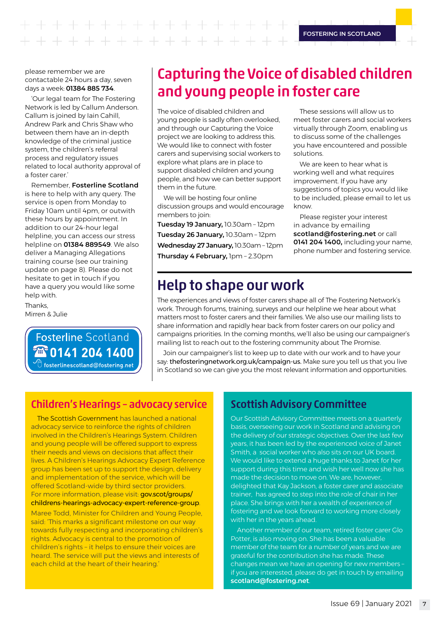$+ + +$  $+ + + + + + + +$ 

**FOSTERING IN SCOTLAND**

These sessions will allow us to meet foster carers and social workers virtually through Zoom, enabling us to discuss some of the challenges you have encountered and possible

We are keen to hear what is working well and what requires improvement. If you have any

please remember we are contactable 24 hours a day, seven days a week: **01384 885 734**.

'Our legal team for The Fostering Network is led by Callum Anderson. Callum is joined by Iain Cahill, Andrew Park and Chris Shaw who between them have an in-depth knowledge of the criminal justice system, the children's referral process and regulatory issues related to local authority approval of a foster carer.'

Remember, **Fosterline Scotland** is here to help with any query. The service is open from Monday to Friday 10am until 4pm, or outwith these hours by appointment. In addition to our 24-hour legal helpline, you can access our stress helpline on **01384 889549**. We also deliver a Managing Allegations training course (see our training update on page 8). Please do not hesitate to get in touch if you have a query you would like some help with.

**Thanks** Mirren & Julie

### **Fosterline Scotland EN 0141 204 1400**  $\bigoplus$  fosterlinescotland@fostering.net

# Capturing the Voice of disabled children and young people in foster care

The voice of disabled children and young people is sadly often overlooked, and through our Capturing the Voice project we are looking to address this. We would like to connect with foster carers and supervising social workers to explore what plans are in place to support disabled children and young people, and how we can better support them in the future.

We will be hosting four online discussion groups and would encourage members to join:

**Tuesday 19 January,** 10.30am – 12pm **Tuesday 26 January,** 10.30am – 12pm **Wednesday 27 January,** 10.30am – 12pm **Thursday 4 February,** 1pm – 2.30pm

suggestions of topics you would like to be included, please email to let us know. Please register your interest

solutions.

in advance by emailing **scotland@fostering.net** or call **0141 204 1400,** including your name, phone number and fostering service.

# Help to shape our work

The experiences and views of foster carers shape all of The Fostering Network's work. Through forums, training, surveys and our helpline we hear about what matters most to foster carers and their families. We also use our mailing lists to share information and rapidly hear back from foster carers on our policy and campaigns priorities. In the coming months, we'll also be using our campaigner's mailing list to reach out to the fostering community about The Promise.

Join our campaigner's list to keep up to date with our work and to have your say: [thefosteringnetwork.org.uk/campaign-us.](http://thefosteringnetwork.org.uk/campaign-us.) Make sure you tell us that you live in Scotland so we can give you the most relevant information and opportunities.

### Children's Hearings – advocacy service

The Scottish Government has launched a national advocacy service to reinforce the rights of children involved in the Children's Hearings System. Children and young people will be offered support to express their needs and views on decisions that affect their lives. A Children's Hearings Advocacy Expert Reference group has been set up to support the design, delivery and implementation of the service, which will be offered Scotland-wide by third sector providers. For more information, please visit: [gov.scot/groups/](http://gov.scot/groups/childrens-hearings-advocacy-expert-reference-group) [childrens-hearings-advocacy-expert-reference-group](http://gov.scot/groups/childrens-hearings-advocacy-expert-reference-group).

Maree Todd, Minister for Children and Young People, said: 'This marks a significant milestone on our way towards fully respecting and incorporating children's rights. Advocacy is central to the promotion of children's rights – it helps to ensure their voices are heard. The service will put the views and interests of each child at the heart of their hearing.'

### Scottish Advisory Committee

Our Scottish Advisory Committee meets on a quarterly basis, overseeing our work in Scotland and advising on the delivery of our strategic objectives. Over the last few years, it has been led by the experienced voice of Janet Smith, a social worker who also sits on our UK board. We would like to extend a huge thanks to Janet for her support during this time and wish her well now she has made the decision to move on. We are, however, delighted that Kay Jackson, a foster carer and associate trainer, has agreed to step into the role of chair in her place. She brings with her a wealth of experience of fostering and we look forward to working more closely with her in the years ahead.

Another member of our team, retired foster carer Glo Potter, is also moving on. She has been a valuable member of the team for a number of years and we are grateful for the contribution she has made. These changes mean we have an opening for new members – if you are interested, please do get in touch by emailing **scotland@fostering.net**.